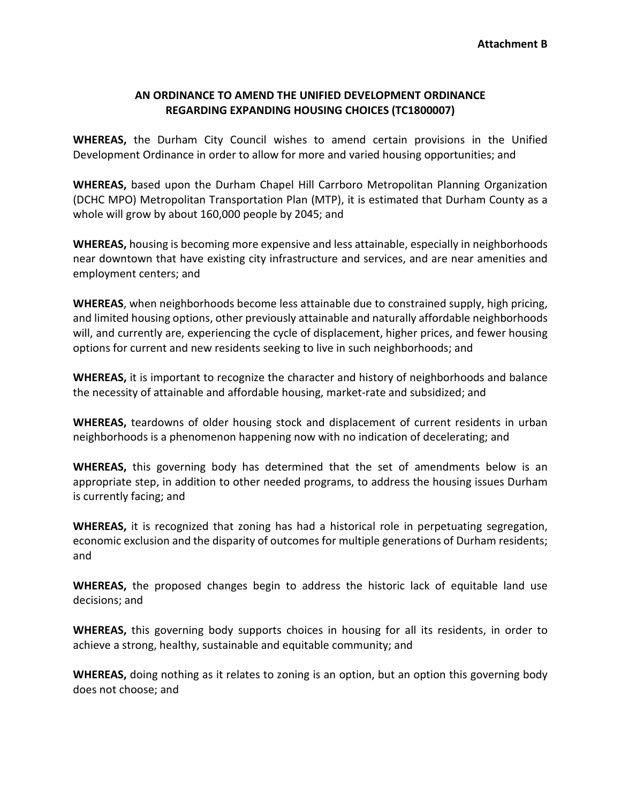## **AN ORDINANCE TO AMEND THE UNIFIED DEVELOPMENT ORDINANCE REGARDING EXPANDING HOUSING CHOICES (TC1800007)**

**WHEREAS,** the Durham City Council wishes to amend certain provisions in the Unified Development Ordinance in order to allow for more and varied housing opportunities; and

**WHEREAS,** based upon the Durham Chapel Hill Carrboro Metropolitan Planning Organization (DCHC MPO) Metropolitan Transportation Plan (MTP), it is estimated that Durham County as a whole will grow by about 160,000 people by 2045; and

**WHEREAS,** housing is becoming more expensive and less attainable, especially in neighborhoods near downtown that have existing city infrastructure and services, and are near amenities and employment centers; and

**WHEREAS**, when neighborhoods become less attainable due to constrained supply, high pricing, and limited housing options, other previously attainable and naturally affordable neighborhoods will, and currently are, experiencing the cycle of displacement, higher prices, and fewer housing options for current and new residents seeking to live in such neighborhoods; and

**WHEREAS,** it is important to recognize the character and history of neighborhoods and balance the necessity of attainable and affordable housing, market-rate and subsidized; and

**WHEREAS,** teardowns of older housing stock and displacement of current residents in urban neighborhoods is a phenomenon happening now with no indication of decelerating; and

**WHEREAS,** this governing body has determined that the set of amendments below is an appropriate step, in addition to other needed programs, to address the housing issues Durham is currently facing; and

**WHEREAS,** it is recognized that zoning has had a historical role in perpetuating segregation, economic exclusion and the disparity of outcomes for multiple generations of Durham residents; and

**WHEREAS,** the proposed changes begin to address the historic lack of equitable land use decisions; and

**WHEREAS,** this governing body supports choices in housing for all its residents, in order to achieve a strong, healthy, sustainable and equitable community; and

**WHEREAS,** doing nothing as it relates to zoning is an option, but an option this governing body does not choose; and